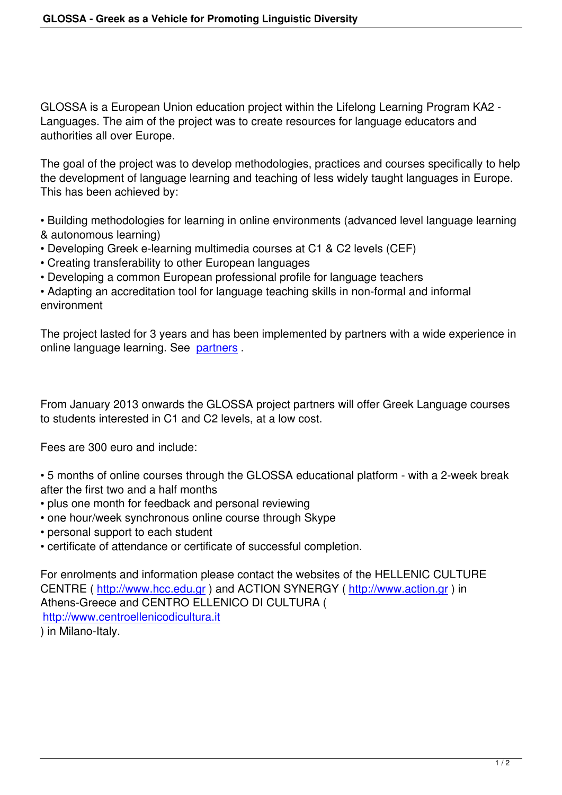GLOSSA is a European Union education project within the Lifelong Learning Program KA2 - Languages. The aim of the project was to create resources for language educators and authorities all over Europe.

The goal of the project was to develop methodologies, practices and courses specifically to help the development of language learning and teaching of less widely taught languages in Europe. This has been achieved by:

• Building methodologies for learning in online environments (advanced level language learning & autonomous learning)

- Developing Greek e-learning multimedia courses at C1 & C2 levels (CEF)
- Creating transferability to other European languages
- Developing a common European professional profile for language teachers

• Adapting an accreditation tool for language teaching skills in non-formal and informal environment

The project lasted for 3 years and has been implemented by partners with a wide experience in online language learning. See partners .

From January 2013 onwards t[he GLOS](index.php?option=com_content&view=category&layout=blog&id=30&Itemid=37&phpMyAdmin=427e455d8b0e4f670266113db1cdee0f)SA project partners will offer Greek Language courses to students interested in C1 and C2 levels, at a low cost.

Fees are 300 euro and include:

- 5 months of online courses through the GLOSSA educational platform with a 2-week break after the first two and a half months
- plus one month for feedback and personal reviewing
- one hour/week synchronous online course through Skype
- personal support to each student
- certificate of attendance or certificate of successful completion.

For enrolments and information please contact the websites of the HELLENIC CULTURE CENTRE ( http://www.hcc.edu.gr ) and ACTION SYNERGY ( http://www.action.gr ) in Athens-Greece and CENTRO ELLENICO DI CULTURA ( http://www.centroellenicodicultura.it ) in Milano-[Italy.](http://www.hcc.edu.gr)